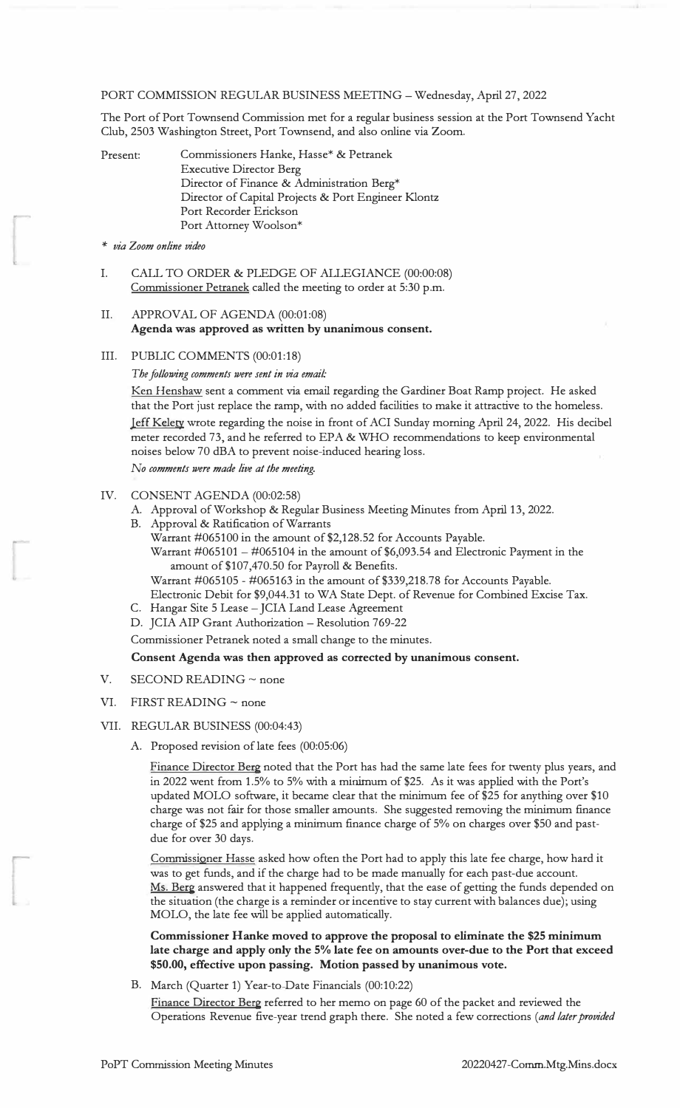#### PORT COMMISSION REGULAR BUSINESS MEETING- Wednesday, April 27, 2022

The Port of Port Townsend Commission met for a regular business session at the Port Townsend Yacht Club, 2503 Washington Street, Port Townsend, and also online via Zoom.

| Present: | Commissioners Hanke, Hasse* & Petranek              |
|----------|-----------------------------------------------------|
|          | <b>Executive Director Berg</b>                      |
|          | Director of Finance & Administration Berg*          |
|          | Director of Capital Projects & Port Engineer Klontz |
|          | Port Recorder Erickson                              |
|          | Port Attorney Woolson*                              |

*\* via Zoom online video*

I. CALL TO ORDER & PLEDGE OF ALLEGIANCE (00:00:08) Commissioner Petranek called the meeting to order at 5:30 p.m.

# II. APPROVAL OF AGENDA (00:01:08) **Agenda was approved as written by unanimous consent.**

III. PUBLIC COMMENTS (00:01:18)

*The fallowing comments were sent in via email:*

Ken Henshaw sent a comment via email regarding the Gardiner Boat Ramp project. He asked that the Port just replace the ramp, with no added facilities to make it attractive to the homeless. Jeff Kelety wrote regarding the noise in front of ACI Sunday morning April 24, 2022. His decibel meter recorded 73, and he referred to EPA & WHO recommendations to keep environmental noises below 70 dBA to prevent noise-induced hearing loss.

*No comments were made live at the meeting.*

- IV. CONSENT AGENDA (00:02:58)
	- A. Approval of Workshop & Regular Business Meeting Minutes from April 13, 2022.
	- B. Approval & Ratification of Warrants
		- Warrant #065100 in the amount of \$2,128.52 for Accounts Payable. Warrant  $\#065101 - \#065104$  in the amount of \$6,093.54 and Electronic Payment in the amount of \$107,470.50 for Payroll & Benefits.
		- Warrant #065105 #065163 in the amount of \$339,218.78 for Accounts Payable.
	- Electronic Debit for \$9,044.31 to WA State Dept. of Revenue for Combined Excise Tax. C. Hangar Site 5 Lease - JCIA Land Lease Agreement
	- D. JCIA AIP Grant Authorization Resolution 769-22

Commissioner Petranek noted a small change to the minutes.

#### **Consent Agenda was then approved as corrected by unanimous consent.**

- V. SECOND READING  $\sim$  none
- VI. FIRST READING  $\sim$  none

#### VII. REGULAR BUSINESS (00:04:43)

A. Proposed revision of late fees (00:05:06)

Finance Director Berg noted that the Port has had the same late fees for twenty plus years, and in 2022 went from 1.5% to 5% with a minimum of \$25. As it was applied with the Port's updated MOLO software, it became clear that the minimum fee of \$25 for anything over \$10 charge was not fair for those smaller amounts. She suggested removing the minimum finance charge of \$25 and applying a minimum finance charge of 5% on charges over \$50 and pastdue for over 30 days.

Commissioner Hasse asked how often the Port had to apply this late fee charge, how hard it was to get funds, and if the charge had to be made manually for each past-due account. Ms. Berg answered that it happened frequently, that the ease of getting the funds depended on the situation (the charge is a reminder or incentive to stay current with balances due); using MOLO, the late fee will be applied automatically.

**Commissioner Hanke moved to approve the proposal to eliminate the \$25 minimum late charge and apply only the 5% late fee on amounts over-due to the Port that exceed \$50.00, effective upon passing. Motion passed by unanimous vote.**

B. March (Quarter 1) Year-to-Date Financials (00:10:22)

Finance Director Berg referred to her memo on page 60 of the packet and reviewed the Operations Revenue five-year trend graph there. She noted a few corrections *(and later provided*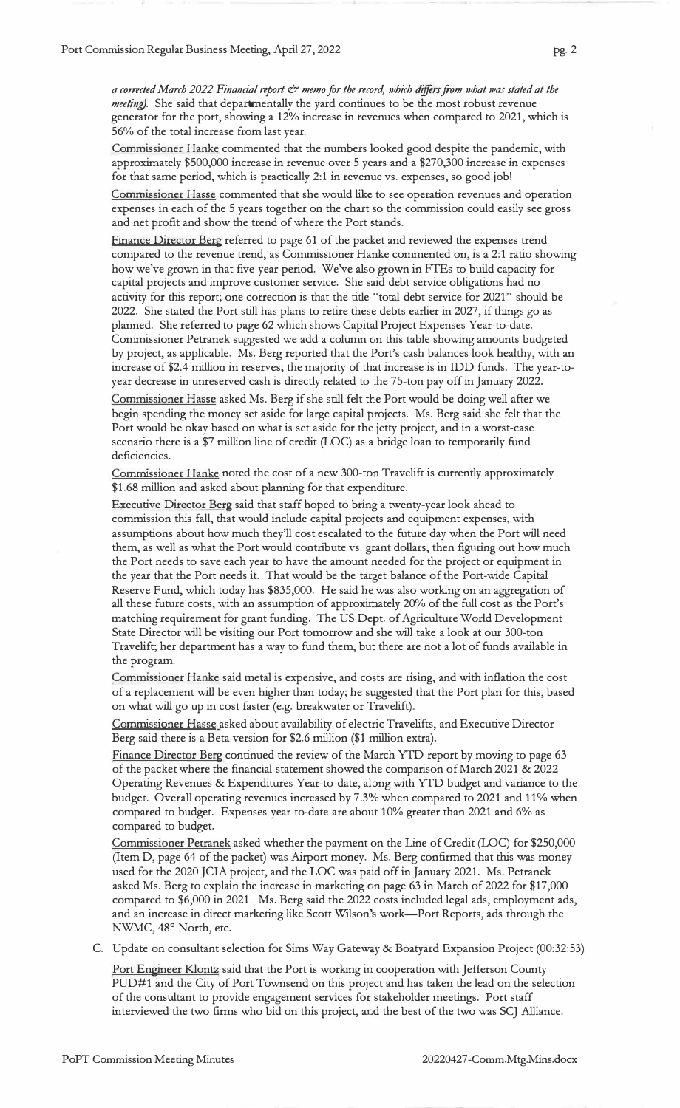*a corrected March 2022 Financial report & memo far the record, which differs from what was stated at the meeting).* She said that departmentally the yard continues to be the most robust revenue generator for the port, showing a 12% increase in revenues when compared to 2021, which is 56% of the total increase from last year.

Commissioner Hanke commented that the numbers looked good despite the pandemic, with approximately \$500,000 increase in revenue over 5 years and a \$270,300 increase in expenses for that same period, which is practically 2:1 in revenue vs. expenses, so good job!

Commissioner Hasse commented that she would like to see operation revenues and operation expenses in each of the 5 years together on the chart so the commission could easily see gross and net profit and show the trend of where the Port stands.

Finance Director Berg referred to page 61 of the packet and reviewed the expenses trend compared to the revenue trend, as Commissioner Hanke commented on, is a 2:1 ratio showing how we've grown in that five-year period. We've also grown in FTEs to build capacity for capital projects and improve customer service. She said debt service obligations had no activity for this report; one correction is that the title "total debt service for 2021" should be 2022. She stated the Port still has plans to retire these debts earlier in 2027, if things go as planned. She referred to page 62 which shows Capital Project Expenses Year-to-date. Commissioner Petranek suggested we add a column on this table showing amounts budgeted by project, as applicable. Ms. Berg reported that the Port's cash balances look healthy, with an increase of \$2.4 million in reserves; the majority of that increase is in IDD funds. The year-toyear decrease in unreserved cash is directly related to the 75-ton pay off in January 2022.

Commissionet Hasse asked Ms. Berg if she still felt the Port would be doing well after we begin spending the money set aside for large capital projects. Ms. Berg said she felt that the Port would be okay based on what is set aside for the jetty project, and in a worst-case scenario there is a \$7 million line of credit (LOC) as a bridge loan to temporarily fund deficiencies.

Commissioner Hanke noted the cost of a new 300-ton Travelift is currently approximately \$1.68 million and asked about planning for that expenditure.

Executive Director Berg said that staff hoped to bring a twenty-year look ahead to commission this fall, that would include capital projects and equipment expenses, with assumptions about how much they'll cost escalated to the future day when the Port will need them, as well as what the Port would contribute vs. grant dollars, then figuring out how much the Port needs to save each year to have the amount needed for the project or equipment in the year that the Port needs it. That would be the target balance of the Port-wide Capital Reserve Fund, which today has \$835,000. He said he was also working on an aggregation of all these future costs, with an assumption of approximately 20% of the full cost as the Port's matching requirement for grant funding. The US Dept. of Agriculture World Development State Director will be visiting our Port tomorrow and she will take a look at our 300-ton Travelift; her department has a way to fund them, bu: there are not a lot of funds available in the program.

Commissioner Hanke said metal is expensive, and costs are rising, and with inflation the cost of a replacement will be even higher than today; he suggested that the Port plan for this, based on what will go up in cost faster (e.g. breakwater or Travelift).

Commissioner Hasse asked about availability of electric Travelifts, and Executive Director Berg said there is a Beta version for \$2.6 million (\$1 million extra).

Finance Director Berg continued the review of the March YTD report by moving to page 63 of the packet where the financial statement showed the comparison of March 2021 & 2022 Operating Revenues & Expenditures Year-to-date, along with YID budget and variance to the budget. Overall operating revenues increased by 7.3% when compared to 2021 and 11% when compared to budget. Expenses year-to-date are about 10% greater than 2021 and 6% as compared to budget.

Commissioner Petranek asked whether the payment on the Line of Credit (LOC) for \$250,000 (Item D, page 64 of the packet) was Airport money. Ms. Berg confirmed that this was money used for the 2020 JCIA project, and the LOC was paid off in January 2021. Ms. Petranek asked Ms. Berg to explain the increase in marketing on page 63 in March of 2022 for \$17,000 compared to \$6,000 in 2021. Ms. Berg said the 2022 costs included legal ads, employment ads, and an increase in direct marketing like Scott Wilson's work-Port Reports, ads through the NWMC, 48° North, etc.

C. Update on consultant selection for Sims Way Gateway & Boatyard Expansion Project (00:32:53)

Port Engineer Klontz said that the Port is working in cooperation with Jefferson County PUD#l and the City of Port Townsend on this project and has taken the lead on the selection of the consultant to provide engagement services for stakeholder meetings. Port staff interviewed the two firms who bid on this project, and the best of the two was SCJ Alliance.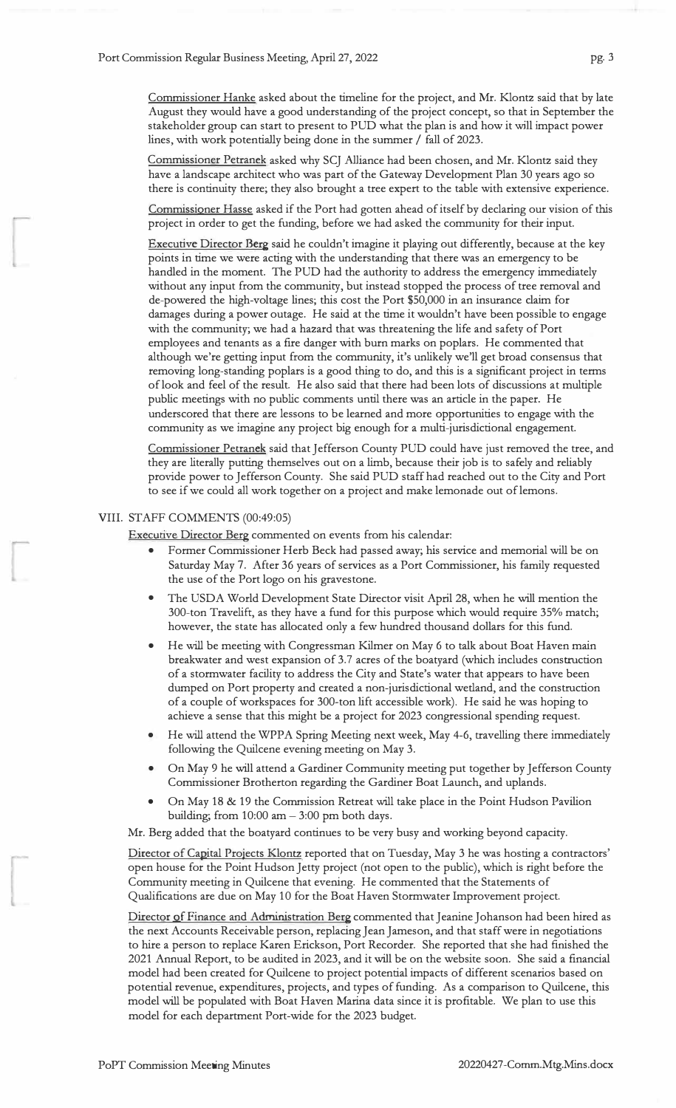Commissioner Hanke asked about the timeline for the project, and Mr. Klontz said that by late August they would have a good understanding of the project concept, so that in September the stakeholder group can start to present to PUD what the plan is and how it will impact power lines, with work potentially being done in the summer / fall of 2023.

Commissioner Petranek asked why SCJ Alliance had been chosen, and Mr. Klontz said they have a landscape architect who was part of the Gateway Development Plan 30 years ago so there is continuity there; they also brought a tree expert to the table with extensive experience.

Commissioner Hasse asked if the Port had gotten ahead of itself by declaring our vision of this project in order to get the funding, before we had asked the community for their input.

Executive Director Berg said he couldn't imagine it playing out differently, because at the key points in time we were acting with the understanding that there was an emergency to be handled in the moment. The PUD had the authority to address the emergency immediately without any input from the community, but instead stopped the process of tree removal and de-powered the high-voltage lines; this cost the Port \$50,000 in an insurance claim for damages during a power outage. He said at the time it wouldn't have been possible to engage with the community; we had a hazard that was threatening the life and safety of Port employees and tenants as a fire danger with burn marks on poplars. He commented that although we're getting input from the community, it's unlikely we'll get broad consensus that removing long-standing poplars is a good thing to do, and this is a significant project in terms of look and feel of the result. He also said that there had been lots of discussions at multiple public meetings with no public comments until there was an article in the paper. He underscored that there are lessons to be learned and more opportunities to engage with the community as we imagine any project big enough for a multi-jurisdictional engagement.

Commissioner Pettanek said that Jefferson County PUD could have just removed the tree, and they are literally putting themselves out on a limb, because their job is to safely and reliably provide power to Jefferson County. She said PUD staff had reached out to the City and Port to see if we could all work together on a project and make lemonade out of lemons.

## VIII. STAFF COMMENTS (00:49:05)

Executive Director Berg commented on events from his calendar:

- Former Commissioner Herb Beck had passed away; his service and memorial will be on Saturday May 7. After 36 years of services as a Port Commissioner, his family requested the use of the Port logo on his gravestone.
- The USDA World Development State Director visit April 28, when he will mention the 300-ton Travelift, as they have a fund for this purpose which would require 35% match; however, the state has allocated only a few hundred thousand dollars for this fund.
- He will be meeting with Congressman Kilmer on May 6 to talk about Boat Haven main breakwater and west expansion of 3.7 acres of the boatyard (which includes construction of a stormwater facility to address the City and State's water that appears to have been dumped on Port property and created a non-jurisdictional wetland, and the construction of a couple of workspaces for 300-ton lift accessible work). He said he was hoping to achieve a sense that this might be a project for 2023 congressional spending request.
- He will attend the WPPA Spring Meeting next week, May 4-6, travelling there immediately following the Quilcene evening meeting on May 3.
- On May 9 he will attend a Gardiner Community meeting put together by Jefferson County Commissioner Brotherton regarding the Gardiner Boat Launch, and uplands.
- On May 18 & 19 the Commission Retreat will take place in the Point Hudson Pavilion building; from  $10:00$  am  $-3:00$  pm both days.

Mr. Berg added that the boatyard continues to be very busy and working beyond capacity.

Director of Capital Projects Klontz reported that on Tuesday, May 3 he was hosting a contractors' open house for the Point Hudson Jetty project (not open to the public), which is right before the Community meeting in Quilcene that evening. He commented that the Statements of Qualifications are due on May 10 for the Boat Haven Stormwater Improvement project.

Director of Finance and Administration Berg commented that Jeanine Johanson had been hired as the next Accounts Receivable person, replacing Jean Jameson, and that staff were in negotiations to hire a person to replace Karen Erickson, Port Recorder. She reported that she had finished the 2021 Annual Report, to be audited in 2023, and it will be on the website soon. She said a financial model had been created for Quilcene to project potential impacts of different scenarios based on potential revenue, expenditures, projects, and types of funding. As a comparison to Quilcene, this model will be populated with Boat Haven Marina data since it is profitable. We plan to use this model for each department Port-wide for the 2023 budget.